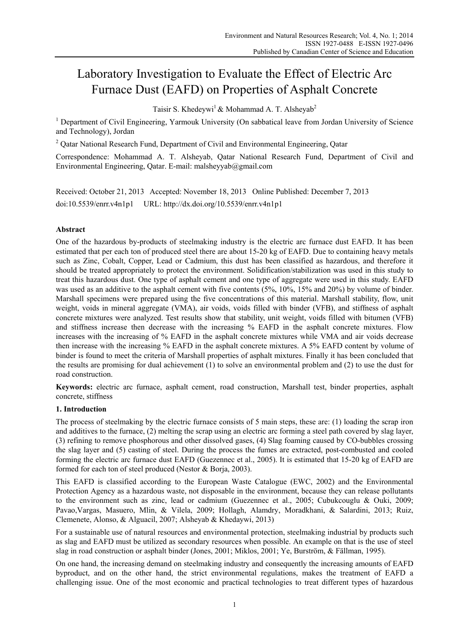# Laboratory Investigation to Evaluate the Effect of Electric Arc Furnace Dust (EAFD) on Properties of Asphalt Concrete

Taisir S. Khedeywi<sup>1</sup> & Mohammad A. T. Alsheyab<sup>2</sup>

<sup>1</sup> Department of Civil Engineering, Yarmouk University (On sabbatical leave from Jordan University of Science and Technology), Jordan

<sup>2</sup> Qatar National Research Fund, Department of Civil and Environmental Engineering, Qatar

Correspondence: Mohammad A. T. Alsheyab, Qatar National Research Fund, Department of Civil and Environmental Engineering, Qatar. E-mail: malsheyyab@gmail.com

Received: October 21, 2013 Accepted: November 18, 2013 Online Published: December 7, 2013 doi:10.5539/enrr.v4n1p1 URL: http://dx.doi.org/10.5539/enrr.v4n1p1

# **Abstract**

One of the hazardous by-products of steelmaking industry is the electric arc furnace dust EAFD. It has been estimated that per each ton of produced steel there are about 15-20 kg of EAFD. Due to containing heavy metals such as Zinc, Cobalt, Copper, Lead or Cadmium, this dust has been classified as hazardous, and therefore it should be treated appropriately to protect the environment. Solidification/stabilization was used in this study to treat this hazardous dust. One type of asphalt cement and one type of aggregate were used in this study. EAFD was used as an additive to the asphalt cement with five contents (5%, 10%, 15% and 20%) by volume of binder. Marshall specimens were prepared using the five concentrations of this material. Marshall stability, flow, unit weight, voids in mineral aggregate (VMA), air voids, voids filled with binder (VFB), and stiffness of asphalt concrete mixtures were analyzed. Test results show that stability, unit weight, voids filled with bitumen (VFB) and stiffness increase then decrease with the increasing % EAFD in the asphalt concrete mixtures. Flow increases with the increasing of % EAFD in the asphalt concrete mixtures while VMA and air voids decrease then increase with the increasing % EAFD in the asphalt concrete mixtures. A 5% EAFD content by volume of binder is found to meet the criteria of Marshall properties of asphalt mixtures. Finally it has been concluded that the results are promising for dual achievement (1) to solve an environmental problem and (2) to use the dust for road construction.

**Keywords:** electric arc furnace, asphalt cement, road construction, Marshall test, binder properties, asphalt concrete, stiffness

## **1. Introduction**

The process of steelmaking by the electric furnace consists of 5 main steps, these are: (1) loading the scrap iron and additives to the furnace, (2) melting the scrap using an electric arc forming a steel path covered by slag layer, (3) refining to remove phosphorous and other dissolved gases, (4) Slag foaming caused by CO-bubbles crossing the slag layer and (5) casting of steel. During the process the fumes are extracted, post-combusted and cooled forming the electric arc furnace dust EAFD (Guezennec et al., 2005). It is estimated that 15-20 kg of EAFD are formed for each ton of steel produced (Nestor & Borja, 2003).

This EAFD is classified according to the European Waste Catalogue (EWC, 2002) and the Environmental Protection Agency as a hazardous waste, not disposable in the environment, because they can release pollutants to the environment such as zinc, lead or cadmium (Guezennec et al., 2005; Cubukcouglu & Ouki, 2009; Pavao,Vargas, Masuero, Mlin, & Vilela, 2009; Hollagh, Alamdry, Moradkhani, & Salardini, 2013; Ruiz, Clemenete, Alonso, & Alguacil, 2007; Alsheyab & Khedaywi, 2013)

For a sustainable use of natural resources and environmental protection, steelmaking industrial by products such as slag and EAFD must be utilized as secondary resources when possible. An example on that is the use of steel slag in road construction or asphalt binder (Jones, 2001; Miklos, 2001; Ye, Burström, & Fällman, 1995).

On one hand, the increasing demand on steelmaking industry and consequently the increasing amounts of EAFD byproduct, and on the other hand, the strict environmental regulations, makes the treatment of EAFD a challenging issue. One of the most economic and practical technologies to treat different types of hazardous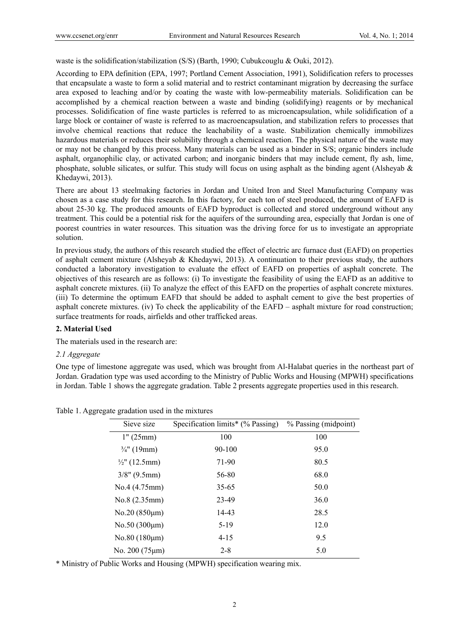waste is the solidification/stabilization (S/S) (Barth, 1990; Cubukcouglu & Ouki, 2012).

According to EPA definition (EPA, 1997; Portland Cement Association, 1991), Solidification refers to processes that encapsulate a waste to form a solid material and to restrict contaminant migration by decreasing the surface area exposed to leaching and/or by coating the waste with low-permeability materials. Solidification can be accomplished by a chemical reaction between a waste and binding (solidifying) reagents or by mechanical processes. Solidification of fine waste particles is referred to as microencapsulation, while solidification of a large block or container of waste is referred to as macroencapsulation, and stabilization refers to processes that involve chemical reactions that reduce the leachability of a waste. Stabilization chemically immobilizes hazardous materials or reduces their solubility through a chemical reaction. The physical nature of the waste may or may not be changed by this process. Many materials can be used as a binder in S/S; organic binders include asphalt, organophilic clay, or activated carbon; and inorganic binders that may include cement, fly ash, lime, phosphate, soluble silicates, or sulfur. This study will focus on using asphalt as the binding agent (Alsheyab  $\&$ Khedaywi, 2013).

There are about 13 steelmaking factories in Jordan and United Iron and Steel Manufacturing Company was chosen as a case study for this research. In this factory, for each ton of steel produced, the amount of EAFD is about 25-30 kg. The produced amounts of EAFD byproduct is collected and stored underground without any treatment. This could be a potential risk for the aquifers of the surrounding area, especially that Jordan is one of poorest countries in water resources. This situation was the driving force for us to investigate an appropriate solution.

In previous study, the authors of this research studied the effect of electric arc furnace dust (EAFD) on properties of asphalt cement mixture (Alsheyab & Khedaywi, 2013). A continuation to their previous study, the authors conducted a laboratory investigation to evaluate the effect of EAFD on properties of asphalt concrete. The objectives of this research are as follows: (i) To investigate the feasibility of using the EAFD as an additive to asphalt concrete mixtures. (ii) To analyze the effect of this EAFD on the properties of asphalt concrete mixtures. (iii) To determine the optimum EAFD that should be added to asphalt cement to give the best properties of asphalt concrete mixtures. (iv) To check the applicability of the EAFD – asphalt mixture for road construction; surface treatments for roads, airfields and other trafficked areas.

#### **2. Material Used**

The materials used in the research are:

#### *2.1 Aggregate*

One type of limestone aggregate was used, which was brought from Al-Halabat queries in the northeast part of Jordan. Gradation type was used according to the Ministry of Public Works and Housing (MPWH) specifications in Jordan. Table 1 shows the aggregate gradation. Table 2 presents aggregate properties used in this research.

| Sieve size               | Specification limits* (% Passing) | % Passing (midpoint) |
|--------------------------|-----------------------------------|----------------------|
| 1" (25mm)                | 100                               | 100                  |
| $\frac{3}{4}$ " (19mm)   | $90 - 100$                        | 95.0                 |
| $\frac{1}{2}$ " (12.5mm) | 71-90                             | 80.5                 |
| $3/8$ " (9.5mm)          | 56-80                             | 68.0                 |
| No.4(4.75mm)             | $35 - 65$                         | 50.0                 |
| No.8 (2.35mm)            | 23-49                             | 36.0                 |
| $No.20 (850 \mu m)$      | 14-43                             | 28.5                 |
| $No.50(300 \mu m)$       | $5-19$                            | 12.0                 |
| $No.80(180 \mu m)$       | $4 - 15$                          | 9.5                  |
| No. $200(75 \mu m)$      | $2 - 8$                           | 5.0                  |

Table 1. Aggregate gradation used in the mixtures

\* Ministry of Public Works and Housing (MPWH) specification wearing mix.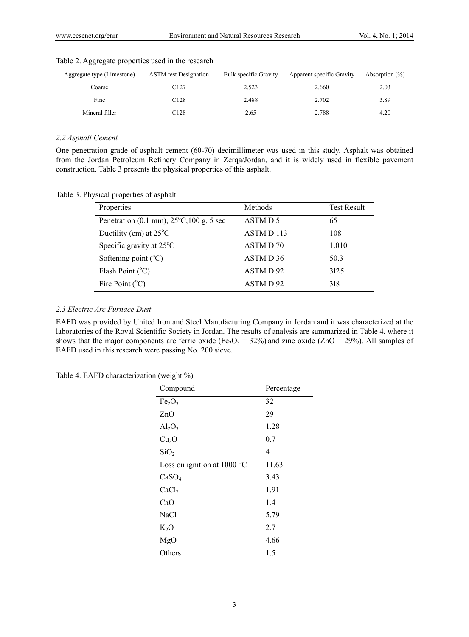| Aggregate type (Limestone) | <b>ASTM</b> test Designation | Bulk specific Gravity | Apparent specific Gravity | Absorption $(\%)$ |
|----------------------------|------------------------------|-----------------------|---------------------------|-------------------|
| Coarse                     | C127                         | 2.523                 | 2.660                     | 2.03              |
| Fine                       | C <sub>128</sub>             | 2.488                 | 2.702                     | 3.89              |
| Mineral filler             | C128                         | 2.65                  | 2.788                     | 4.20              |

Table 2. Aggregate properties used in the research

#### *2.2 Asphalt Cement*

One penetration grade of asphalt cement (60-70) decimillimeter was used in this study. Asphalt was obtained from the Jordan Petroleum Refinery Company in Zerqa/Jordan, and it is widely used in flexible pavement construction. Table 3 presents the physical properties of this asphalt.

Table 3. Physical properties of asphalt

| Properties                                         | <b>Methods</b>       | <b>Test Result</b> |
|----------------------------------------------------|----------------------|--------------------|
| Penetration (0.1 mm), $25^{\circ}$ C, 100 g, 5 sec | ASTM D 5             | 65                 |
| Ductility (cm) at $25^{\circ}$ C                   | ASTM D 113           | 108                |
| Specific gravity at $25^{\circ}$ C                 | ASTM D 70            | 1.010              |
| Softening point $(^{\circ}C)$                      | ASTM D <sub>36</sub> | 50.3               |
| Flash Point $(^{\circ}C)$                          | ASTM D92             | 312.5              |
| Fire Point $(^{\circ}C)$                           | ASTM D92             | 318                |
|                                                    |                      |                    |

## *2.3 Electric Arc Furnace Dust*

EAFD was provided by United Iron and Steel Manufacturing Company in Jordan and it was characterized at the laboratories of the Royal Scientific Society in Jordan. The results of analysis are summarized in Table 4, where it shows that the major components are ferric oxide (Fe<sub>2</sub>O<sub>3</sub> = 32%) and zinc oxide (ZnO = 29%). All samples of EAFD used in this research were passing No. 200 sieve.

Table 4. EAFD characterization (weight %)

| Compound                       | Percentage |  |
|--------------------------------|------------|--|
| Fe <sub>2</sub> O <sub>3</sub> | 32         |  |
| ZnO                            | 29         |  |
| $Al_2O_3$                      | 1.28       |  |
| Cu <sub>2</sub> O              | 0.7        |  |
| SiO <sub>2</sub>               | 4          |  |
| Loss on ignition at 1000 °C    | 11.63      |  |
| CaSO <sub>4</sub>              | 3.43       |  |
| CaCl <sub>2</sub>              | 1.91       |  |
| CaO                            | 1.4        |  |
| NaCl                           | 5.79       |  |
| $K_2O$                         | 2.7        |  |
| MgO                            | 4.66       |  |
| Others                         | 1.5        |  |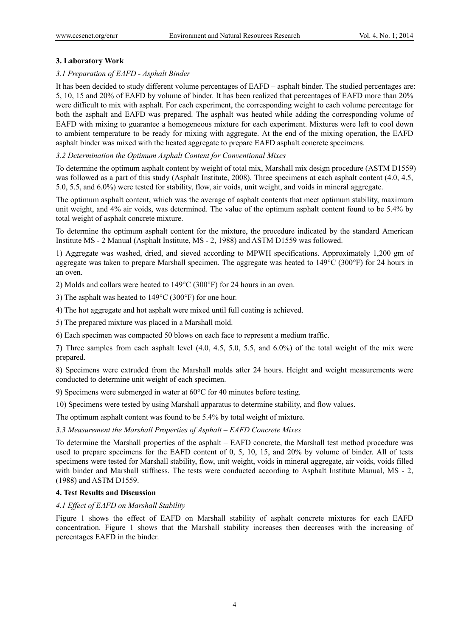# **3. Laboratory Work**

# *3.1 Preparation of EAFD - Asphalt Binder*

It has been decided to study different volume percentages of EAFD – asphalt binder. The studied percentages are: 5, 10, 15 and 20% of EAFD by volume of binder. It has been realized that percentages of EAFD more than 20% were difficult to mix with asphalt. For each experiment, the corresponding weight to each volume percentage for both the asphalt and EAFD was prepared. The asphalt was heated while adding the corresponding volume of EAFD with mixing to guarantee a homogeneous mixture for each experiment. Mixtures were left to cool down to ambient temperature to be ready for mixing with aggregate. At the end of the mixing operation, the EAFD asphalt binder was mixed with the heated aggregate to prepare EAFD asphalt concrete specimens.

## *3.2 Determination the Optimum Asphalt Content for Conventional Mixes*

To determine the optimum asphalt content by weight of total mix, Marshall mix design procedure (ASTM D1559) was followed as a part of this study (Asphalt Institute, 2008). Three specimens at each asphalt content (4.0, 4.5, 5.0, 5.5, and 6.0%) were tested for stability, flow, air voids, unit weight, and voids in mineral aggregate.

The optimum asphalt content, which was the average of asphalt contents that meet optimum stability, maximum unit weight, and 4% air voids, was determined. The value of the optimum asphalt content found to be 5.4% by total weight of asphalt concrete mixture.

To determine the optimum asphalt content for the mixture, the procedure indicated by the standard American Institute MS - 2 Manual (Asphalt Institute, MS - 2, 1988) and ASTM D1559 was followed.

1) Aggregate was washed, dried, and sieved according to MPWH specifications. Approximately 1,200 gm of aggregate was taken to prepare Marshall specimen. The aggregate was heated to 149°C (300°F) for 24 hours in an oven.

2) Molds and collars were heated to 149°C (300°F) for 24 hours in an oven.

3) The asphalt was heated to 149°C (300°F) for one hour.

4) The hot aggregate and hot asphalt were mixed until full coating is achieved.

5) The prepared mixture was placed in a Marshall mold.

6) Each specimen was compacted 50 blows on each face to represent a medium traffic.

7) Three samples from each asphalt level (4.0, 4.5, 5.0, 5.5, and 6.0%) of the total weight of the mix were prepared.

8) Specimens were extruded from the Marshall molds after 24 hours. Height and weight measurements were conducted to determine unit weight of each specimen.

9) Specimens were submerged in water at 60°C for 40 minutes before testing.

10) Specimens were tested by using Marshall apparatus to determine stability, and flow values.

The optimum asphalt content was found to be 5.4% by total weight of mixture.

# *3.3 Measurement the Marshall Properties of Asphalt – EAFD Concrete Mixes*

To determine the Marshall properties of the asphalt – EAFD concrete, the Marshall test method procedure was used to prepare specimens for the EAFD content of 0, 5, 10, 15, and 20% by volume of binder. All of tests specimens were tested for Marshall stability, flow, unit weight, voids in mineral aggregate, air voids, voids filled with binder and Marshall stiffness. The tests were conducted according to Asphalt Institute Manual, MS - 2, (1988) and ASTM D1559.

## **4. Test Results and Discussion**

# *4.1 Effect of EAFD on Marshall Stability*

Figure 1 shows the effect of EAFD on Marshall stability of asphalt concrete mixtures for each EAFD concentration. Figure 1 shows that the Marshall stability increases then decreases with the increasing of percentages EAFD in the binder.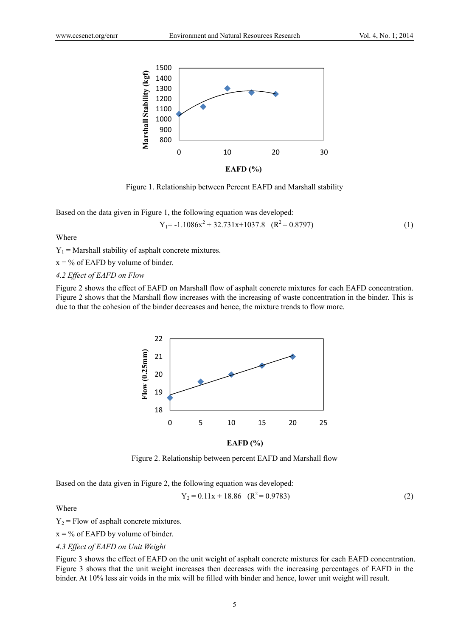

Figure 1. Relationship between Percent EAFD and Marshall stability

Based on the data given in Figure 1, the following equation was developed:

$$
Y_1 = -1.1086x^2 + 32.731x + 1037.8 \quad (R^2 = 0.8797)
$$
 (1)

Where

 $Y_1$  = Marshall stability of asphalt concrete mixtures.

 $x = \frac{9}{6}$  of EAFD by volume of binder.

## *4.2 Effect of EAFD on Flow*

Figure 2 shows the effect of EAFD on Marshall flow of asphalt concrete mixtures for each EAFD concentration. Figure 2 shows that the Marshall flow increases with the increasing of waste concentration in the binder. This is due to that the cohesion of the binder decreases and hence, the mixture trends to flow more.



**EAFD (%)**

Figure 2. Relationship between percent EAFD and Marshall flow

Based on the data given in Figure 2, the following equation was developed:

$$
Y_2 = 0.11x + 18.86 \quad (R^2 = 0.9783)
$$
 (2)

Where

 $Y_2$  = Flow of asphalt concrete mixtures.

 $x = \frac{9}{6}$  of EAFD by volume of binder.

## *4.3 Effect of EAFD on Unit Weight*

Figure 3 shows the effect of EAFD on the unit weight of asphalt concrete mixtures for each EAFD concentration. Figure 3 shows that the unit weight increases then decreases with the increasing percentages of EAFD in the binder. At 10% less air voids in the mix will be filled with binder and hence, lower unit weight will result.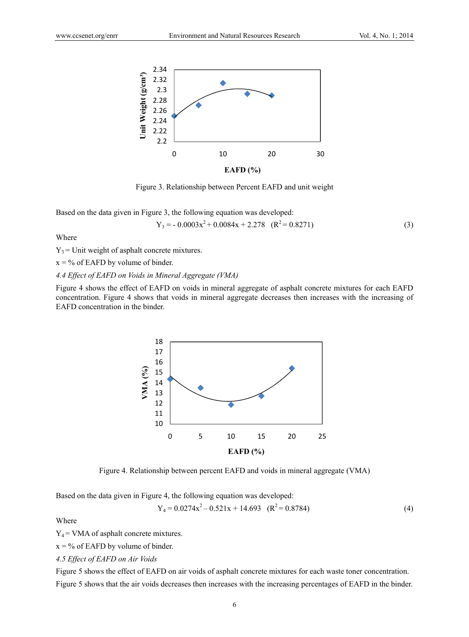

Figure 3. Relationship between Percent EAFD and unit weight

Based on the data given in Figure 3, the following equation was developed:

$$
Y_3 = -0.0003x^2 + 0.0084x + 2.278 \quad (R^2 = 0.8271)
$$
 (3)

Where

 $Y_3$  = Unit weight of asphalt concrete mixtures.

 $x = \frac{9}{6}$  of EAFD by volume of binder.

## *4.4 Effect of EAFD on Voids in Mineral Aggregate (VMA)*

Figure 4 shows the effect of EAFD on voids in mineral aggregate of asphalt concrete mixtures for each EAFD concentration. Figure 4 shows that voids in mineral aggregate decreases then increases with the increasing of EAFD concentration in the binder.



Figure 4. Relationship between percent EAFD and voids in mineral aggregate (VMA)

Based on the data given in Figure 4, the following equation was developed:

$$
Y_4 = 0.0274x^2 - 0.521x + 14.693 \quad (R^2 = 0.8784)
$$
 (4)

Where

 $Y_4$  = VMA of asphalt concrete mixtures.

 $x = \frac{9}{6}$  of EAFD by volume of binder.

*4.5 Effect of EAFD on Air Voids* 

Figure 5 shows the effect of EAFD on air voids of asphalt concrete mixtures for each waste toner concentration. Figure 5 shows that the air voids decreases then increases with the increasing percentages of EAFD in the binder.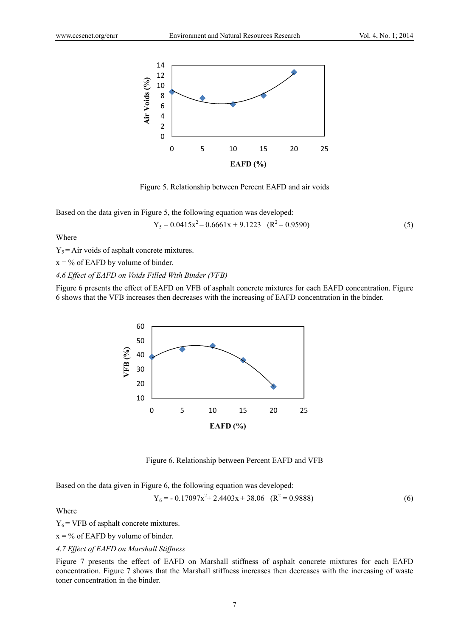

Figure 5. Relationship between Percent EAFD and air voids

Based on the data given in Figure 5, the following equation was developed:

$$
Y_5 = 0.0415x^2 - 0.6661x + 9.1223 \quad (R^2 = 0.9590)
$$
 (5)

Where

 $Y_5$  = Air voids of asphalt concrete mixtures.

 $x = \frac{9}{6}$  of EAFD by volume of binder.

*4.6 Effect of EAFD on Voids Filled With Binder (VFB)* 

Figure 6 presents the effect of EAFD on VFB of asphalt concrete mixtures for each EAFD concentration. Figure 6 shows that the VFB increases then decreases with the increasing of EAFD concentration in the binder.



Figure 6. Relationship between Percent EAFD and VFB

Based on the data given in Figure 6, the following equation was developed:

$$
Y_6 = -0.17097x^2 + 2.4403x + 38.06 \quad (R^2 = 0.9888)
$$
 (6)

Where

 $Y_6$  = VFB of asphalt concrete mixtures.

 $x = \frac{9}{6}$  of EAFD by volume of binder.

*4.7 Effect of EAFD on Marshall Stiffness* 

Figure 7 presents the effect of EAFD on Marshall stiffness of asphalt concrete mixtures for each EAFD concentration. Figure 7 shows that the Marshall stiffness increases then decreases with the increasing of waste toner concentration in the binder.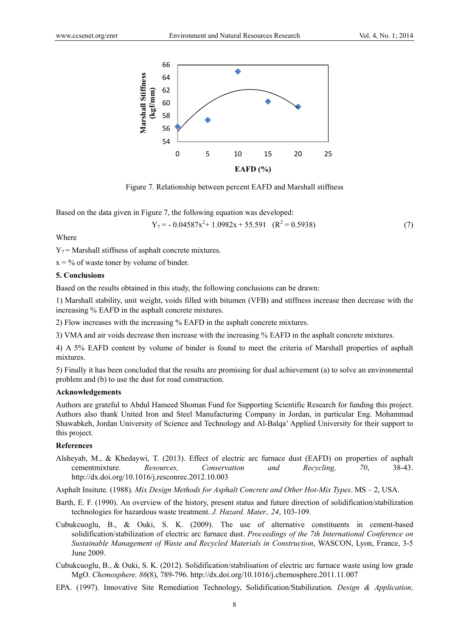

Figure 7. Relationship between percent EAFD and Marshall stiffness

Based on the data given in Figure 7, the following equation was developed:

$$
Y_7 = -0.04587x^2 + 1.0982x + 55.591 \quad (R^2 = 0.5938)
$$
 (7)

Where

 $Y_7$  = Marshall stiffness of asphalt concrete mixtures.

 $x = \frac{0}{0}$  of waste toner by volume of binder.

#### **5. Conclusions**

Based on the results obtained in this study, the following conclusions can be drawn:

1) Marshall stability, unit weight, voids filled with bitumen (VFB) and stiffness increase then decrease with the increasing % EAFD in the asphalt concrete mixtures.

2) Flow increases with the increasing % EAFD in the asphalt concrete mixtures.

3) VMA and air voids decrease then increase with the increasing % EAFD in the asphalt concrete mixtures.

4) A 5% EAFD content by volume of binder is found to meet the criteria of Marshall properties of asphalt mixtures.

5) Finally it has been concluded that the results are promising for dual achievement (a) to solve an environmental problem and (b) to use the dust for road construction.

#### **Acknowledgements**

Authors are grateful to Abdul Hameed Shoman Fund for Supporting Scientific Research for funding this project. Authors also thank United Iron and Steel Manufacturing Company in Jordan, in particular Eng. Mohammad Shawabkeh, Jordan University of Science and Technology and Al-Balqa' Applied University for their support to this project.

## **References**

Alsheyab, M., & Khedaywi, T. (2013). Effect of electric arc furnace dust (EAFD) on properties of asphalt cementmixture. *Resources, Conservation and Recycling, 70*, 38-43. http://dx.doi.org/10.1016/j.resconrec.2012.10.003

Asphalt Insitute. (1988). *Mix Design Methods for Asphalt Concrete and Other Hot-Mix Types*. MS – 2, USA.

- Barth, E. F. (1990). An overview of the history, present status and future direction of solidification/stabilization technologies for hazardous waste treatment. *J. Hazard. Mater., 24*, 103-109.
- Cubukcuoglu, B., & Ouki, S. K. (2009). The use of alternative constituents in cement-based solidification/stabilization of electric arc furnace dust. *Proceedings of the 7th International Conference on Sustainable Management of Waste and Recycled Materials in Construction*, WASCON, Lyon, France, 3-5 June 2009.
- Cubukcuoglu, B., & Ouki, S. K. (2012). Solidification/stabilisation of electric arc furnace waste using low grade MgO. *Chemosphere, 86*(8), 789-796. http://dx.doi.org/10.1016/j.chemosphere.2011.11.007
- EPA. (1997). Innovative Site Remediation Technology, Solidification/Stabilization. *Design & Application,*